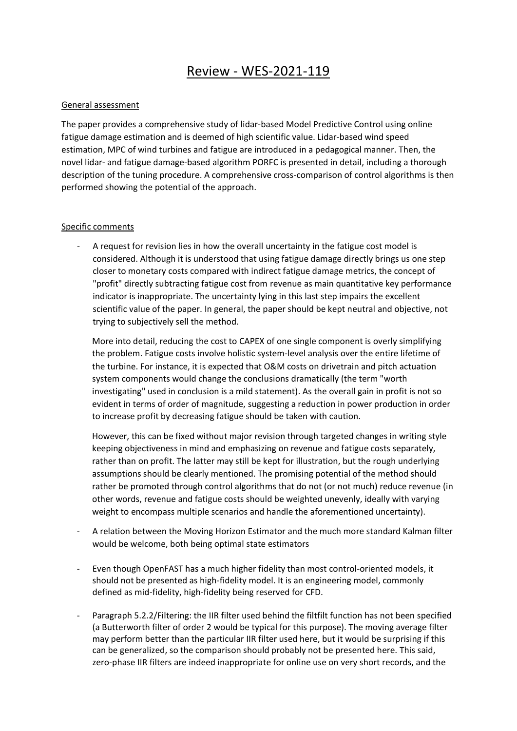## Review - WES-2021-119

## General assessment

The paper provides a comprehensive study of lidar-based Model Predictive Control using online fatigue damage estimation and is deemed of high scientific value. Lidar-based wind speed estimation, MPC of wind turbines and fatigue are introduced in a pedagogical manner. Then, the novel lidar- and fatigue damage-based algorithm PORFC is presented in detail, including a thorough description of the tuning procedure. A comprehensive cross-comparison of control algorithms is then performed showing the potential of the approach.

## Specific comments

A request for revision lies in how the overall uncertainty in the fatigue cost model is considered. Although it is understood that using fatigue damage directly brings us one step closer to monetary costs compared with indirect fatigue damage metrics, the concept of "profit" directly subtracting fatigue cost from revenue as main quantitative key performance indicator is inappropriate. The uncertainty lying in this last step impairs the excellent scientific value of the paper. In general, the paper should be kept neutral and objective, not trying to subjectively sell the method.

More into detail, reducing the cost to CAPEX of one single component is overly simplifying the problem. Fatigue costs involve holistic system-level analysis over the entire lifetime of the turbine. For instance, it is expected that O&M costs on drivetrain and pitch actuation system components would change the conclusions dramatically (the term "worth investigating" used in conclusion is a mild statement). As the overall gain in profit is not so evident in terms of order of magnitude, suggesting a reduction in power production in order to increase profit by decreasing fatigue should be taken with caution.

However, this can be fixed without major revision through targeted changes in writing style keeping objectiveness in mind and emphasizing on revenue and fatigue costs separately, rather than on profit. The latter may still be kept for illustration, but the rough underlying assumptions should be clearly mentioned. The promising potential of the method should rather be promoted through control algorithms that do not (or not much) reduce revenue (in other words, revenue and fatigue costs should be weighted unevenly, ideally with varying weight to encompass multiple scenarios and handle the aforementioned uncertainty).

- A relation between the Moving Horizon Estimator and the much more standard Kalman filter would be welcome, both being optimal state estimators
- Even though OpenFAST has a much higher fidelity than most control-oriented models, it should not be presented as high-fidelity model. It is an engineering model, commonly defined as mid-fidelity, high-fidelity being reserved for CFD.
- Paragraph 5.2.2/Filtering: the IIR filter used behind the filtfilt function has not been specified (a Butterworth filter of order 2 would be typical for this purpose). The moving average filter may perform better than the particular IIR filter used here, but it would be surprising if this can be generalized, so the comparison should probably not be presented here. This said, zero-phase IIR filters are indeed inappropriate for online use on very short records, and the